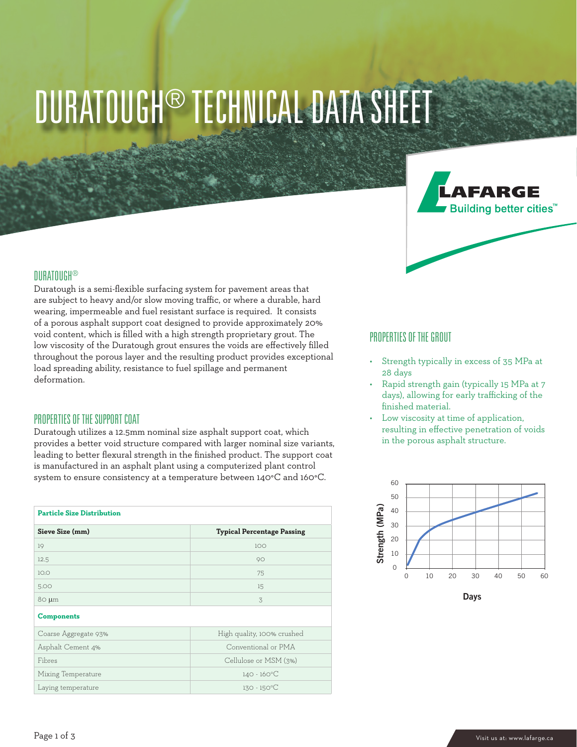# DURATOUGH® TECHNICAL DATA SHEET



#### **DURATOUGH®**

Duratough is a semi-flexible surfacing system for pavement areas that are subject to heavy and/or slow moving traffic, or where a durable, hard wearing, impermeable and fuel resistant surface is required. It consists of a porous asphalt support coat designed to provide approximately 20% void content, which is filled with a high strength proprietary grout. The low viscosity of the Duratough grout ensures the voids are effectively filled throughout the porous layer and the resulting product provides exceptional load spreading ability, resistance to fuel spillage and permanent deformation.

#### PROPERTIES OF THE SUPPORT COAT

Duratough utilizes a 12.5mm nominal size asphalt support coat, which provides a better void structure compared with larger nominal size variants, leading to better flexural strength in the finished product. The support coat is manufactured in an asphalt plant using a computerized plant control system to ensure consistency at a temperature between 140°C and 160°C.

| <b>Particle Size Distribution</b> |                                   |
|-----------------------------------|-----------------------------------|
| Sieve Size (mm)                   | <b>Typical Percentage Passing</b> |
| 19                                | 100                               |
| 12.5                              | 90                                |
| 10.0                              | 75                                |
| 5.00                              | 15                                |
| $80 \mu m$                        | 3                                 |
| <b>Components</b>                 |                                   |
| Coarse Aggregate 93%              | High quality, 100% crushed        |
| Asphalt Cement 4%                 | Conventional or PMA               |
| Fibres                            | Cellulose or MSM (3%)             |
| Mixing Temperature                | $140 - 160^{\circ}C$              |
| Laying temperature                | $130 - 150^{\circ}C$              |

#### PROPERTIES OF THE GROUT

- Strength typically in excess of 35 MPa at 28 days
- Rapid strength gain (typically 15 MPa at 7 days), allowing for early trafficking of the finished material.
- Low viscosity at time of application, resulting in effective penetration of voids in the porous asphalt structure.

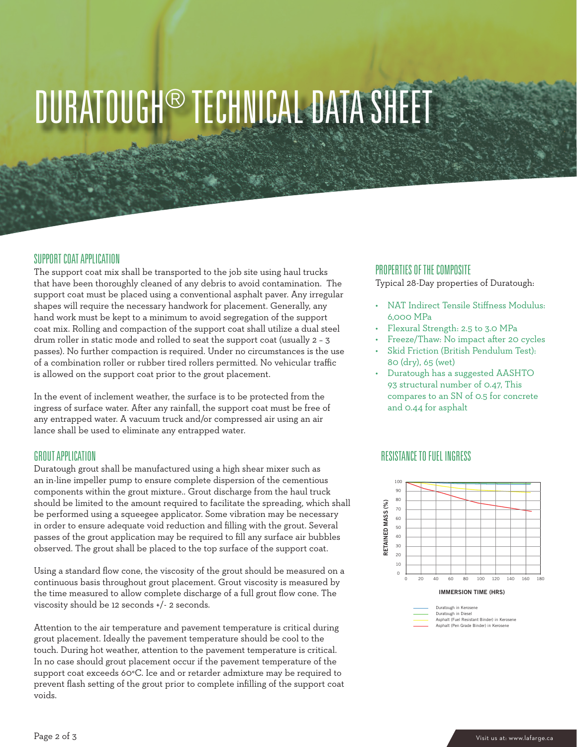### DURATOUGH® TECHNICAL DATA SHEET

#### SUPPORT COAT APPLICATION

The support coat mix shall be transported to the job site using haul trucks that have been thoroughly cleaned of any debris to avoid contamination. The support coat must be placed using a conventional asphalt paver. Any irregular shapes will require the necessary handwork for placement. Generally, any hand work must be kept to a minimum to avoid segregation of the support coat mix. Rolling and compaction of the support coat shall utilize a dual steel drum roller in static mode and rolled to seat the support coat (usually 2 – 3 passes). No further compaction is required. Under no circumstances is the use of a combination roller or rubber tired rollers permitted. No vehicular traffic is allowed on the support coat prior to the grout placement.

In the event of inclement weather, the surface is to be protected from the ingress of surface water. After any rainfall, the support coat must be free of any entrapped water. A vacuum truck and/or compressed air using an air lance shall be used to eliminate any entrapped water.

#### GROUT APPLICATION

Duratough grout shall be manufactured using a high shear mixer such as an in-line impeller pump to ensure complete dispersion of the cementious components within the grout mixture.. Grout discharge from the haul truck should be limited to the amount required to facilitate the spreading, which shall be performed using a squeegee applicator. Some vibration may be necessary in order to ensure adequate void reduction and filling with the grout. Several passes of the grout application may be required to fill any surface air bubbles observed. The grout shall be placed to the top surface of the support coat.

Using a standard flow cone, the viscosity of the grout should be measured on a continuous basis throughout grout placement. Grout viscosity is measured by the time measured to allow complete discharge of a full grout flow cone. The viscosity should be 12 seconds +/- 2 seconds.

Attention to the air temperature and pavement temperature is critical during grout placement. Ideally the pavement temperature should be cool to the touch. During hot weather, attention to the pavement temperature is critical. In no case should grout placement occur if the pavement temperature of the support coat exceeds 60°C. Ice and or retarder admixture may be required to prevent flash setting of the grout prior to complete infilling of the support coat voids.

#### PROPERTIES OF THE COMPOSITE

Typical 28-Day properties of Duratough:

- NAT Indirect Tensile Stiffness Modulus: 6,000 MPa
- Flexural Strength: 2.5 to 3.0 MPa
- Freeze/Thaw: No impact after 20 cycles
- Skid Friction (British Pendulum Test): 80 (dry), 65 (wet)
- Duratough has a suggested AASHTO 93 structural number of 0.47, This compares to an SN of 0.5 for concrete and 0.44 for asphalt

### RESISTANCE TO FUEL INGRESS